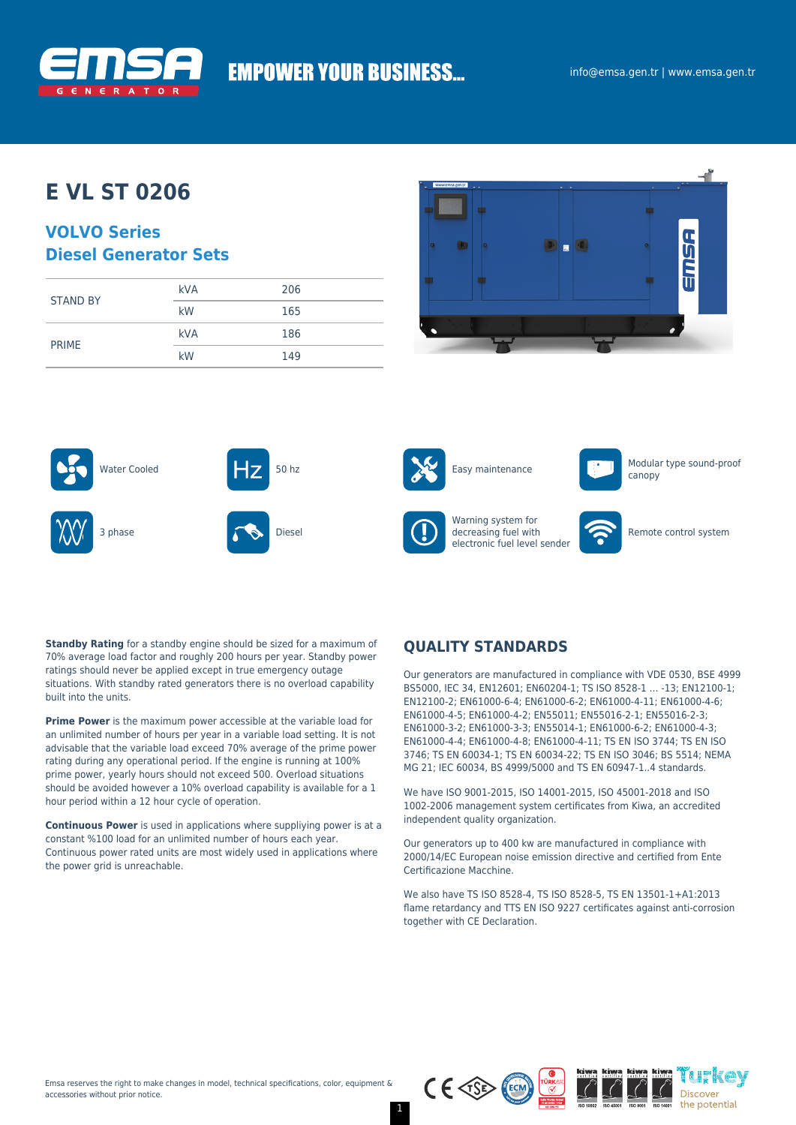

# **EMPOWER YOUR BUSINESS...**

# **E VL ST 0206**

## **VOLVO Series Diesel Generator Sets**

|                 | <b>kVA</b> | 206 |
|-----------------|------------|-----|
| <b>STAND BY</b> | kW         | 165 |
| <b>PRIME</b>    | <b>kVA</b> | 186 |
|                 | kW         | 149 |











Warning system for decreasing fuel with electronic fuel level sender



canopy

Remote control system

**Standby Rating** for a standby engine should be sized for a maximum of 70% average load factor and roughly 200 hours per year. Standby power ratings should never be applied except in true emergency outage situations. With standby rated generators there is no overload capability built into the units.

**Prime Power** is the maximum power accessible at the variable load for an unlimited number of hours per year in a variable load setting. It is not advisable that the variable load exceed 70% average of the prime power rating during any operational period. If the engine is running at 100% prime power, yearly hours should not exceed 500. Overload situations should be avoided however a 10% overload capability is available for a 1 hour period within a 12 hour cycle of operation.

**Continuous Power** is used in applications where suppliying power is at a constant %100 load for an unlimited number of hours each year. Continuous power rated units are most widely used in applications where the power grid is unreachable.

## **QUALITY STANDARDS**

Our generators are manufactured in compliance with VDE 0530, BSE 4999 BS5000, IEC 34, EN12601; EN60204-1; TS ISO 8528-1 … -13; EN12100-1; EN12100-2; EN61000-6-4; EN61000-6-2; EN61000-4-11; EN61000-4-6; EN61000-4-5; EN61000-4-2; EN55011; EN55016-2-1; EN55016-2-3; EN61000-3-2; EN61000-3-3; EN55014-1; EN61000-6-2; EN61000-4-3; EN61000-4-4; EN61000-4-8; EN61000-4-11; TS EN ISO 3744; TS EN ISO 3746; TS EN 60034-1; TS EN 60034-22; TS EN ISO 3046; BS 5514; NEMA MG 21; IEC 60034, BS 4999/5000 and TS EN 60947-1..4 standards.

We have ISO 9001-2015, ISO 14001-2015, ISO 45001-2018 and ISO 1002-2006 management system certificates from Kiwa, an accredited independent quality organization.

Our generators up to 400 kw are manufactured in compliance with 2000/14/EC European noise emission directive and certified from Ente Certificazione Macchine.

We also have TS ISO 8528-4, TS ISO 8528-5, TS EN 13501-1+A1:2013 flame retardancy and TTS EN ISO 9227 certificates against anti-corrosion together with CE Declaration.



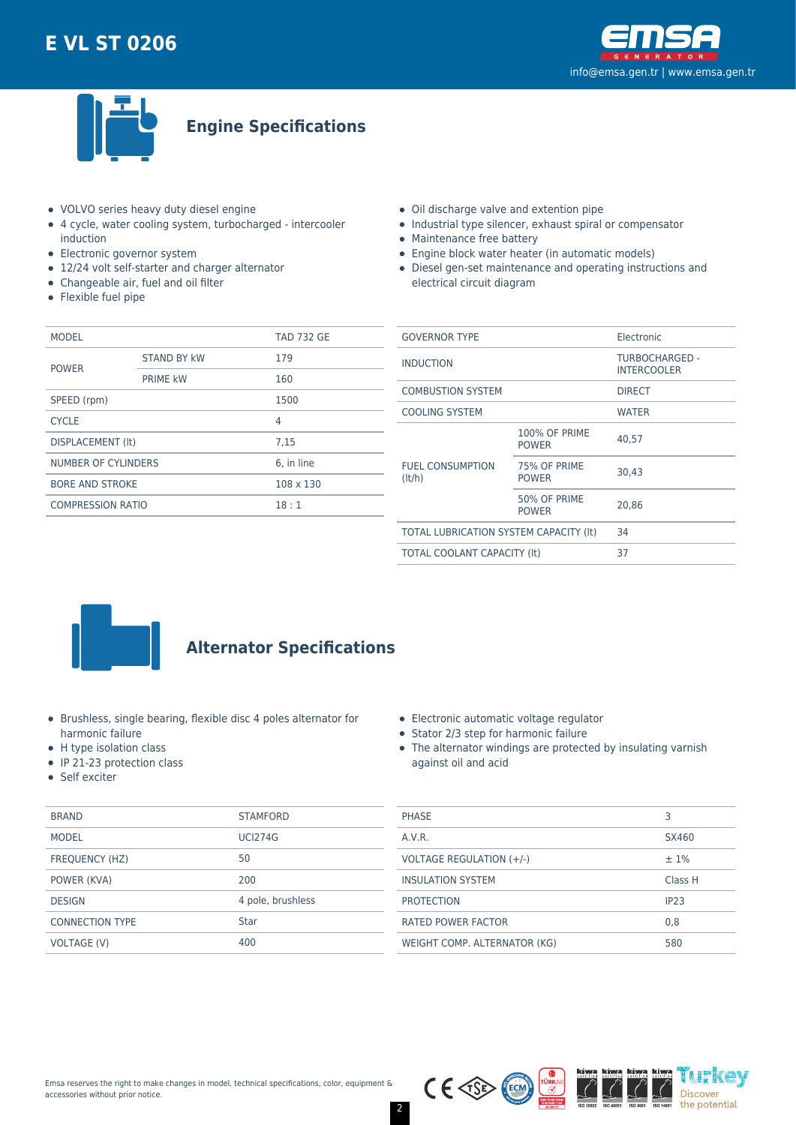



**Engine Specifications**

- VOLVO series heavy duty diesel engine
- 4 cycle, water cooling system, turbocharged intercooler induction
- Electronic governor system
- 12/24 volt self-starter and charger alternator
- Changeable air, fuel and oil filter
- Flexible fuel pipe
- Oil discharge valve and extention pipe
- Industrial type silencer, exhaust spiral or compensator
- Maintenance free battery
- Engine block water heater (in automatic models)
- Diesel gen-set maintenance and operating instructions and electrical circuit diagram

| <b>MODEL</b>             |                    | <b>TAD 732 GE</b> |  |
|--------------------------|--------------------|-------------------|--|
| <b>POWER</b>             | <b>STAND BY kW</b> | 179               |  |
|                          | <b>PRIME kW</b>    | 160               |  |
| SPEED (rpm)              |                    | 1500              |  |
| <b>CYCLE</b>             |                    | 4                 |  |
| DISPLACEMENT (It)        |                    | 7.15              |  |
| NUMBER OF CYLINDERS      |                    | 6. in line        |  |
| <b>BORE AND STROKE</b>   |                    | $108 \times 130$  |  |
| <b>COMPRESSION RATIO</b> |                    | 18:1              |  |
|                          |                    |                   |  |

| <b>GOVERNOR TYPE</b>                   |                                      | Electronic                           |  |
|----------------------------------------|--------------------------------------|--------------------------------------|--|
| <b>INDUCTION</b>                       |                                      | TURBOCHARGED -<br><b>INTERCOOLER</b> |  |
| <b>COMBUSTION SYSTEM</b>               |                                      | <b>DIRECT</b>                        |  |
| <b>COOLING SYSTEM</b>                  |                                      | <b>WATER</b>                         |  |
| <b>FUEL CONSUMPTION</b><br>(lt/h)      | <b>100% OF PRIME</b><br><b>POWER</b> | 40.57                                |  |
|                                        | 75% OF PRIME<br><b>POWER</b>         | 30.43                                |  |
|                                        | 50% OF PRIME<br><b>POWER</b>         | 20.86                                |  |
| TOTAL LUBRICATION SYSTEM CAPACITY (It) |                                      | 34                                   |  |
| <b>TOTAL COOLANT CAPACITY (It)</b>     |                                      | 37                                   |  |
|                                        |                                      |                                      |  |



## **Alternator Specifications**

- Brushless, single bearing, flexible disc 4 poles alternator for harmonic failure
- H type isolation class
- IP 21-23 protection class
- Self exciter

|  |  | Electronic automatic voltage regulator |  |  |
|--|--|----------------------------------------|--|--|
|--|--|----------------------------------------|--|--|

- Stator 2/3 step for harmonic failure
- The alternator windings are protected by insulating varnish against oil and acid

| <b>BRAND</b>           | <b>STAMFORD</b>   | <b>PHASE</b>                 |              |  |
|------------------------|-------------------|------------------------------|--------------|--|
| <b>MODEL</b>           | <b>UCI274G</b>    | A.V.R.                       | <b>SX460</b> |  |
| FREQUENCY (HZ)         | 50                | VOLTAGE REGULATION (+/-)     | $±1\%$       |  |
| POWER (KVA)            | 200               | <b>INSULATION SYSTEM</b>     | <b>Class</b> |  |
| <b>DESIGN</b>          | 4 pole, brushless | <b>PROTECTION</b>            | IP23         |  |
| <b>CONNECTION TYPE</b> | <b>Star</b>       | <b>RATED POWER FACTOR</b>    | 0.8          |  |
| <b>VOLTAGE (V)</b>     | 400               | WEIGHT COMP. ALTERNATOR (KG) | 580          |  |
|                        |                   |                              |              |  |



Class H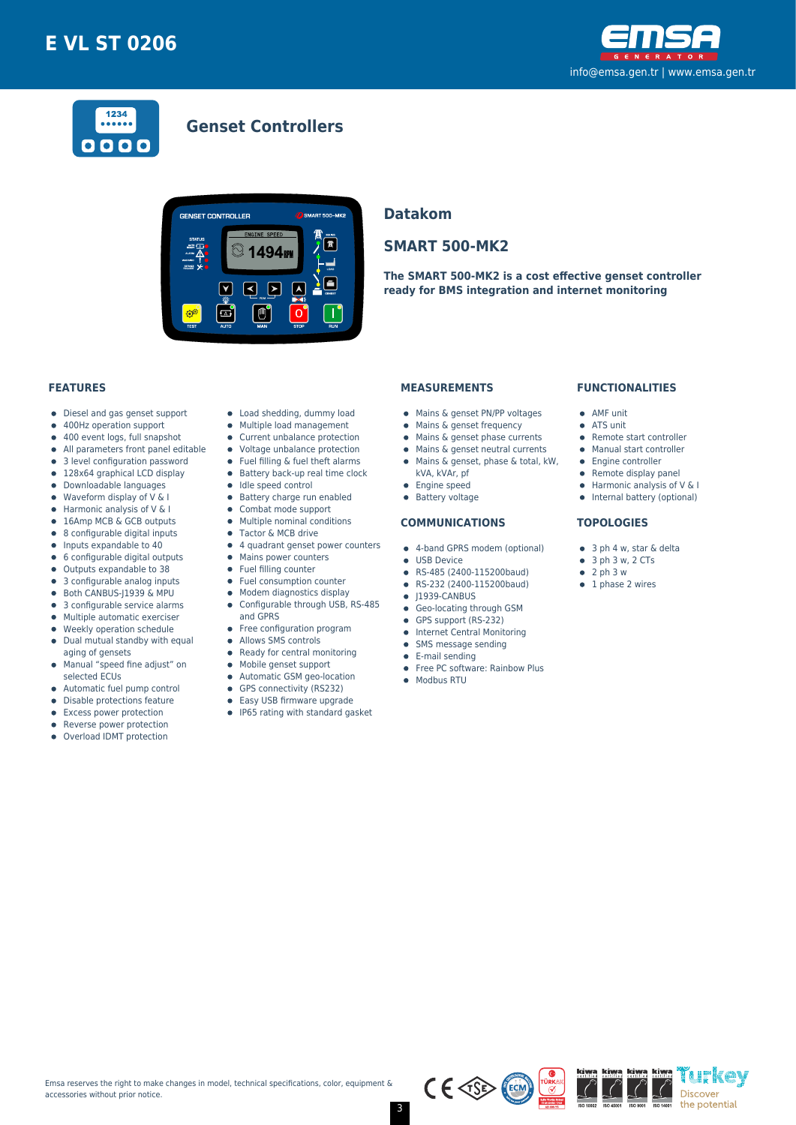



## **Genset Controllers**



### **Datakom**

## **SMART 500-MK2**

**The SMART 500-MK2 is a cost effective genset controller ready for BMS integration and internet monitoring**

#### **FEATURES**

- Diesel and gas genset support  $\bullet$
- 400Hz operation support  $\bullet$
- $\bullet$ 400 event logs, full snapshot
- All parameters front panel editable  $\bullet$
- 3 level configuration password
- 128x64 graphical LCD display  $\bullet$
- Downloadable languages
- $\bullet$ Waveform display of V & I  $\bullet$
- Harmonic analysis of V & I 16Amp MCB & GCB outputs
- 8 configurable digital inputs  $\bullet$
- $\bullet$ Inputs expandable to 40
- 6 configurable digital outputs  $\bullet$
- Outputs expandable to 38  $\bullet$
- 3 configurable analog inputs
- Both CANBUS-J1939 & MPU  $\bullet$
- 3 configurable service alarms  $\bullet$
- $\bullet$ Multiple automatic exerciser
- Weekly operation schedule  $\blacksquare$
- $\bullet$ Dual mutual standby with equal aging of gensets
- Manual "speed fine adjust" on  $\bullet$ selected ECUs
- 
- Automatic fuel pump control  $\bullet$  $\bullet$
- Disable protections feature
- Excess power protection • Reverse power protection
- $\bullet$
- Overload IDMT protection
- Load shedding, dummy load
- Multiple load management  $\bullet$
- Current unbalance protection
- Voltage unbalance protection
- $\bullet$ Fuel filling & fuel theft alarms
- $\bullet$  Battery back-up real time clock
- $\bullet$  Idle speed control
- **•** Battery charge run enabled
- $\bullet$ Combat mode support
- $\bullet$ Multiple nominal conditions
- Tactor & MCB drive
- 4 quadrant genset power counters
- Mains power counters
- Fuel filling counter  $\bullet$ Fuel consumption counter
- $\bullet$
- Modem diagnostics display Configurable through USB, RS-485  $\bullet$
- and GPRS
- Free configuration program
- $\bullet$ Allows SMS controls
- $\bullet$ Ready for central monitoring
- Mobile genset support
- $\bullet$
- Automatic GSM geo-location  $\bullet$
- $\bullet$ GPS connectivity (RS232)
- $\bullet$ Easy USB firmware upgrade
- IP65 rating with standard gasket

### **MEASUREMENTS**

- Mains & genset PN/PP voltages
- Mains & genset frequency
- $\bullet$  Mains & genset phase currents
- Mains & genset neutral currents  $\bullet$
- Mains & genset, phase & total, kW,
	- kVA, kVAr, pf
- **•** Engine speed
- **•** Battery voltage

#### **COMMUNICATIONS**

- 4-band GPRS modem (optional)
- **CONTRACTE OF LISR Device**
- RS-485 (2400-115200baud)
- RS-232 (2400-115200baud)  $\bullet$
- $\bullet$  J1939-CANBUS
- **Geo-locating through GSM**
- GPS support (RS-232)
- **•** Internet Central Monitoring
- SMS message sending  $\bullet$
- E-mail sending
- Free PC software: Rainbow Plus
- Modbus RTU

#### **FUNCTIONALITIES**

- AMF unit
- ATS unit
- Remote start controller
- Manual start controller
- Engine controller
- $\bullet$  Remote display panel
- $\bullet$  Harmonic analysis of V & I
- Internal battery (optional)

#### **TOPOLOGIES**

- 3 ph 4 w, star & delta
- $\bullet$  3 ph 3 w, 2 CTs
- $\bullet$  2 ph 3 w
- $\bullet$  1 phase 2 wires



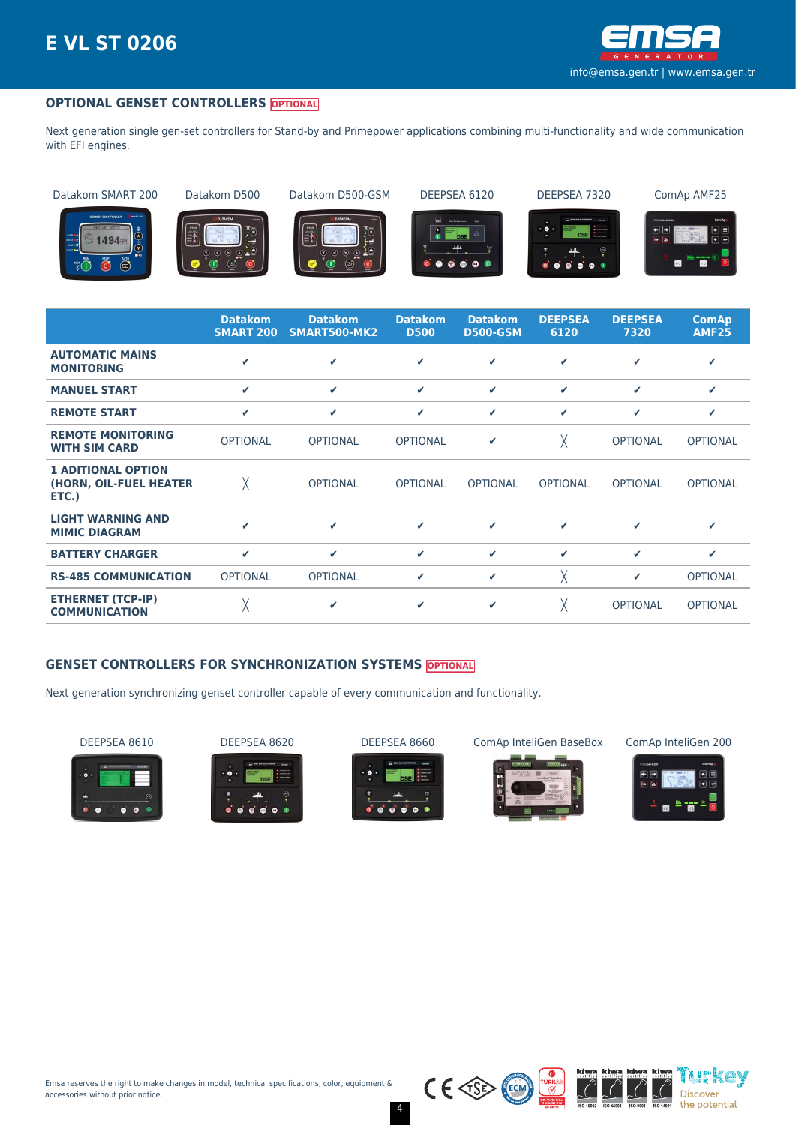

### **OPTIONAL GENSET CONTROLLERS OPTIONAL**

Next generation single gen-set controllers for Stand-by and Primepower applications combining multi-functionality and wide communication with EFI engines.

Datakom SMART 200 Datakom D500 Datakom D500-GSM DEEPSEA 6120 DEEPSEA 7320 ComAp AMF25



















|                                                              | <b>Datakom</b><br><b>SMART 200</b> | <b>Datakom</b><br>SMART500-MK2 | <b>Datakom</b><br><b>D500</b> | <b>Datakom</b><br><b>D500-GSM</b> | <b>DEEPSEA</b><br>6120 | <b>DEEPSEA</b><br>7320 | <b>ComAp</b><br><b>AMF25</b> |
|--------------------------------------------------------------|------------------------------------|--------------------------------|-------------------------------|-----------------------------------|------------------------|------------------------|------------------------------|
| <b>AUTOMATIC MAINS</b><br><b>MONITORING</b>                  | ✔                                  | $\checkmark$                   | ✓                             | ✔                                 | ✔                      | ✓                      | ✔                            |
| <b>MANUEL START</b>                                          | $\checkmark$                       | $\checkmark$                   | ✓                             | ✓                                 | ✓                      | ✔                      | ✔                            |
| <b>REMOTE START</b>                                          | ✓                                  | $\checkmark$                   | ✓                             | ✓                                 | ✓                      | ✓                      | ✔                            |
| <b>REMOTE MONITORING</b><br><b>WITH SIM CARD</b>             | <b>OPTIONAL</b>                    | <b>OPTIONAL</b>                | <b>OPTIONAL</b>               | ✔                                 | χ                      | <b>OPTIONAL</b>        | <b>OPTIONAL</b>              |
| <b>1 ADITIONAL OPTION</b><br>(HORN, OIL-FUEL HEATER<br>ETC.) | χ                                  | <b>OPTIONAL</b>                | <b>OPTIONAL</b>               | <b>OPTIONAL</b>                   | <b>OPTIONAL</b>        | <b>OPTIONAL</b>        | <b>OPTIONAL</b>              |
| <b>LIGHT WARNING AND</b><br><b>MIMIC DIAGRAM</b>             | ✔                                  | ✓                              | ✓                             | ✔                                 | ✓                      | ✔                      | ✔                            |
| <b>BATTERY CHARGER</b>                                       | ✓                                  | ✔                              | ✓                             | ✓                                 | ✓                      | ✓                      | ✔                            |
| <b>RS-485 COMMUNICATION</b>                                  | <b>OPTIONAL</b>                    | <b>OPTIONAL</b>                | ✓                             | ✓                                 | χ                      | ✓                      | <b>OPTIONAL</b>              |
| <b>ETHERNET (TCP-IP)</b><br><b>COMMUNICATION</b>             | χ                                  | $\checkmark$                   | ✓                             | ✓                                 | χ                      | <b>OPTIONAL</b>        | <b>OPTIONAL</b>              |

### **GENSET CONTROLLERS FOR SYNCHRONIZATION SYSTEMS OPTIONAL**

Next generation synchronizing genset controller capable of every communication and functionality.